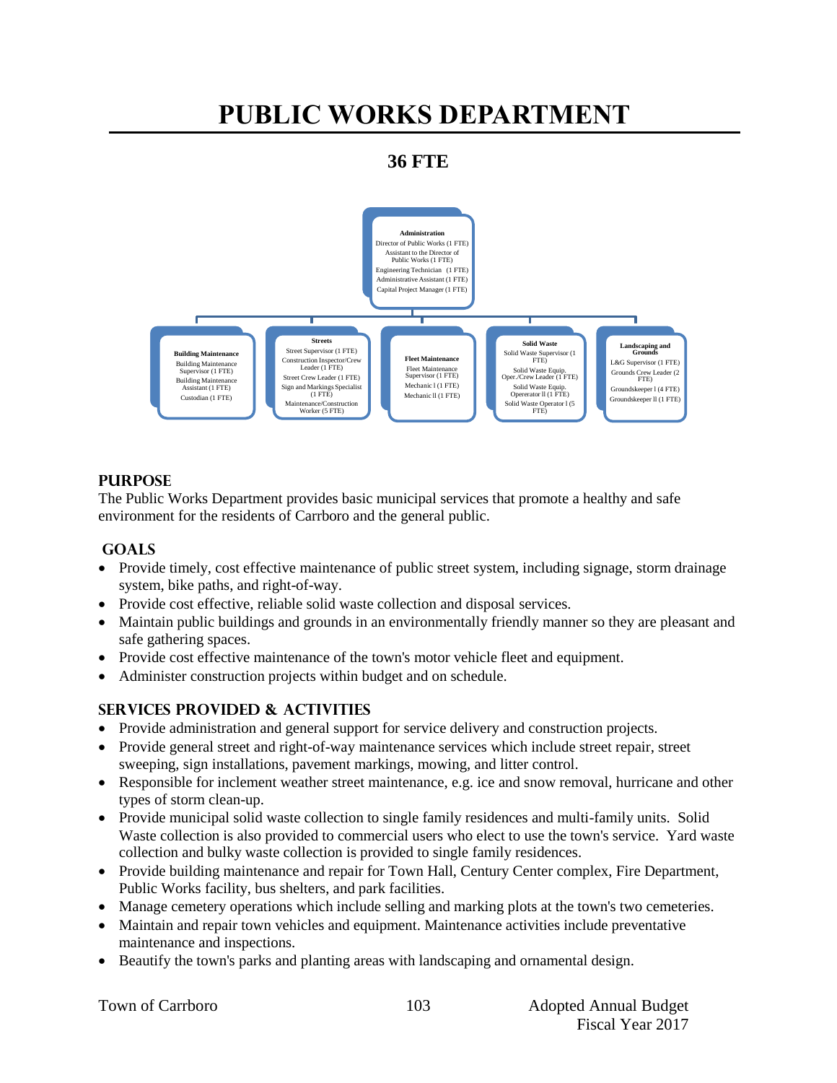# **PUBLIC WORKS DEPARTMENT**

# **36 FTE**



### **PURPOSE**

The Public Works Department provides basic municipal services that promote a healthy and safe environment for the residents of Carrboro and the general public.

### **GOALS**

- Provide timely, cost effective maintenance of public street system, including signage, storm drainage system, bike paths, and right-of-way.
- Provide cost effective, reliable solid waste collection and disposal services.
- Maintain public buildings and grounds in an environmentally friendly manner so they are pleasant and safe gathering spaces.
- Provide cost effective maintenance of the town's motor vehicle fleet and equipment.
- Administer construction projects within budget and on schedule.

### **Services PROVIDED & ACTIVITIES**

- Provide administration and general support for service delivery and construction projects.
- Provide general street and right-of-way maintenance services which include street repair, street sweeping, sign installations, pavement markings, mowing, and litter control.
- Responsible for inclement weather street maintenance, e.g. ice and snow removal, hurricane and other types of storm clean-up.
- Provide municipal solid waste collection to single family residences and multi-family units. Solid Waste collection is also provided to commercial users who elect to use the town's service. Yard waste collection and bulky waste collection is provided to single family residences.
- Provide building maintenance and repair for Town Hall, Century Center complex, Fire Department, Public Works facility, bus shelters, and park facilities.
- Manage cemetery operations which include selling and marking plots at the town's two cemeteries.
- Maintain and repair town vehicles and equipment. Maintenance activities include preventative maintenance and inspections.
- Beautify the town's parks and planting areas with landscaping and ornamental design.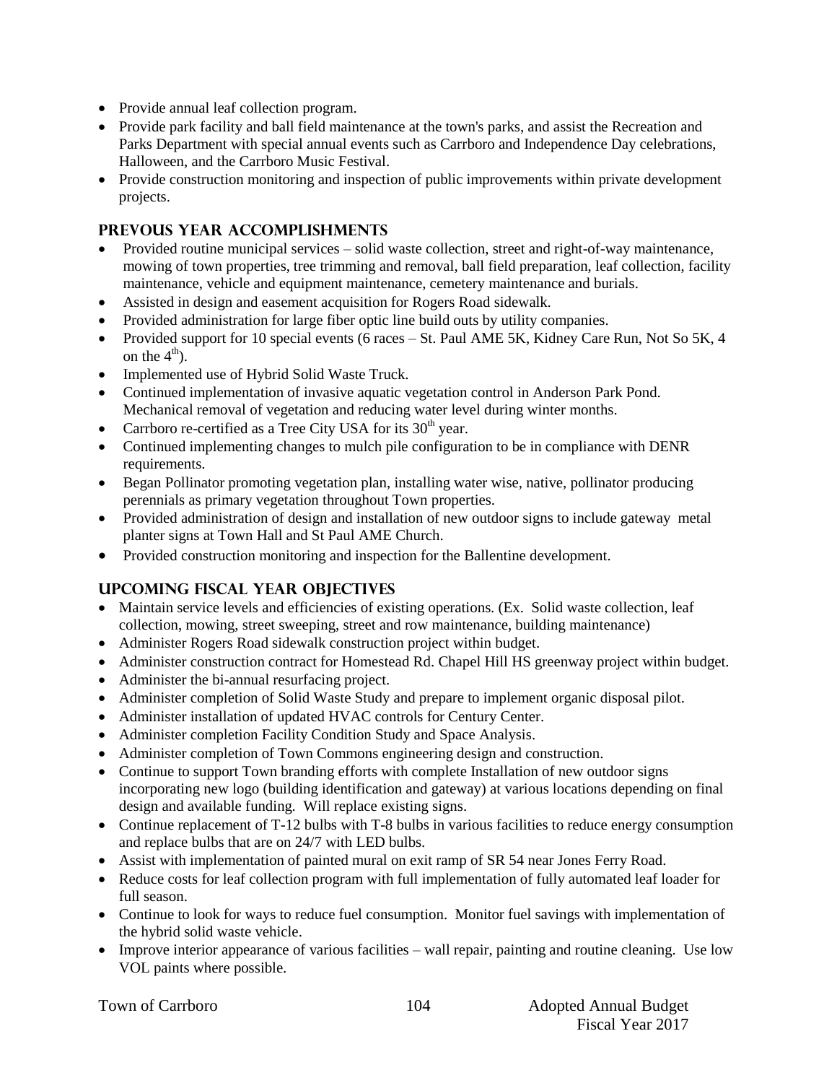- Provide annual leaf collection program.
- Provide park facility and ball field maintenance at the town's parks, and assist the Recreation and Parks Department with special annual events such as Carrboro and Independence Day celebrations, Halloween, and the Carrboro Music Festival.
- Provide construction monitoring and inspection of public improvements within private development projects.

### **PREVOUS YEAR ACCOMPLISHMENTS**

- Provided routine municipal services solid waste collection, street and right-of-way maintenance, mowing of town properties, tree trimming and removal, ball field preparation, leaf collection, facility maintenance, vehicle and equipment maintenance, cemetery maintenance and burials.
- Assisted in design and easement acquisition for Rogers Road sidewalk.
- Provided administration for large fiber optic line build outs by utility companies.
- Provided support for 10 special events (6 races St. Paul AME 5K, Kidney Care Run, Not So 5K, 4 on the  $4<sup>th</sup>$ .
- Implemented use of Hybrid Solid Waste Truck.
- Continued implementation of invasive aquatic vegetation control in Anderson Park Pond. Mechanical removal of vegetation and reducing water level during winter months.
- Carrboro re-certified as a Tree City USA for its  $30<sup>th</sup>$  year.
- Continued implementing changes to mulch pile configuration to be in compliance with DENR requirements.
- Began Pollinator promoting vegetation plan, installing water wise, native, pollinator producing perennials as primary vegetation throughout Town properties.
- Provided administration of design and installation of new outdoor signs to include gateway metal planter signs at Town Hall and St Paul AME Church.
- Provided construction monitoring and inspection for the Ballentine development.

### **UPCOMING FISCAL YEAR OBJECTIVES**

- Maintain service levels and efficiencies of existing operations. (Ex. Solid waste collection, leaf collection, mowing, street sweeping, street and row maintenance, building maintenance)
- Administer Rogers Road sidewalk construction project within budget.
- Administer construction contract for Homestead Rd. Chapel Hill HS greenway project within budget.
- Administer the bi-annual resurfacing project.
- Administer completion of Solid Waste Study and prepare to implement organic disposal pilot.
- Administer installation of updated HVAC controls for Century Center.
- Administer completion Facility Condition Study and Space Analysis.
- Administer completion of Town Commons engineering design and construction.
- Continue to support Town branding efforts with complete Installation of new outdoor signs incorporating new logo (building identification and gateway) at various locations depending on final design and available funding. Will replace existing signs.
- Continue replacement of T-12 bulbs with T-8 bulbs in various facilities to reduce energy consumption and replace bulbs that are on 24/7 with LED bulbs.
- Assist with implementation of painted mural on exit ramp of SR 54 near Jones Ferry Road.
- Reduce costs for leaf collection program with full implementation of fully automated leaf loader for full season.
- Continue to look for ways to reduce fuel consumption. Monitor fuel savings with implementation of the hybrid solid waste vehicle.
- Improve interior appearance of various facilities wall repair, painting and routine cleaning. Use low VOL paints where possible.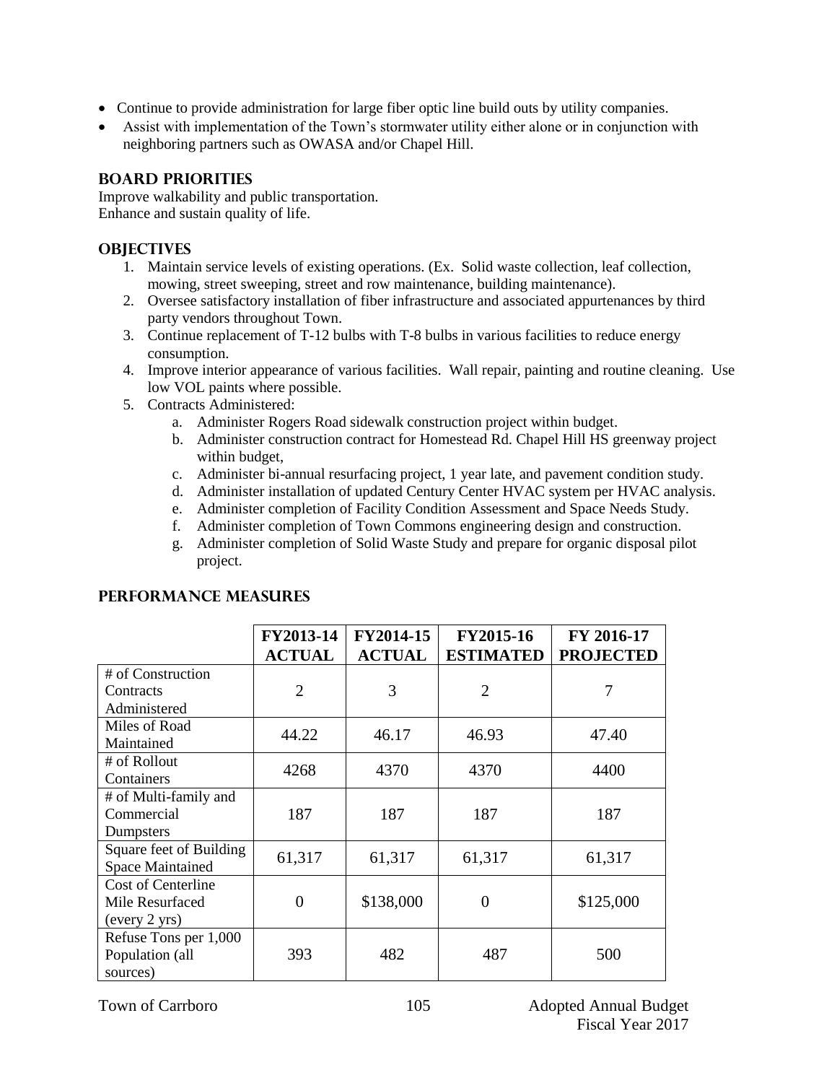- Continue to provide administration for large fiber optic line build outs by utility companies.
- Assist with implementation of the Town's stormwater utility either alone or in conjunction with neighboring partners such as OWASA and/or Chapel Hill.

### **BOARD PRIORITIES**

Improve walkability and public transportation. Enhance and sustain quality of life.

### **OBJECTIVES**

- 1. Maintain service levels of existing operations. (Ex. Solid waste collection, leaf collection, mowing, street sweeping, street and row maintenance, building maintenance).
- 2. Oversee satisfactory installation of fiber infrastructure and associated appurtenances by third party vendors throughout Town.
- 3. Continue replacement of T-12 bulbs with T-8 bulbs in various facilities to reduce energy consumption.
- 4. Improve interior appearance of various facilities. Wall repair, painting and routine cleaning. Use low VOL paints where possible.
- 5. Contracts Administered:
	- a. Administer Rogers Road sidewalk construction project within budget.
	- b. Administer construction contract for Homestead Rd. Chapel Hill HS greenway project within budget,
	- c. Administer bi-annual resurfacing project, 1 year late, and pavement condition study.
	- d. Administer installation of updated Century Center HVAC system per HVAC analysis.
	- e. Administer completion of Facility Condition Assessment and Space Needs Study.
	- f. Administer completion of Town Commons engineering design and construction.
	- g. Administer completion of Solid Waste Study and prepare for organic disposal pilot project.

|                                                               | FY2013-14<br><b>ACTUAL</b> | FY2014-15<br><b>ACTUAL</b> | FY2015-16<br><b>ESTIMATED</b> | FY 2016-17<br><b>PROJECTED</b> |
|---------------------------------------------------------------|----------------------------|----------------------------|-------------------------------|--------------------------------|
| # of Construction<br>Contracts                                | $\overline{2}$             | 3                          | $\overline{2}$                | 7                              |
| Administered                                                  |                            |                            |                               |                                |
| Miles of Road<br>Maintained                                   | 44.22                      | 46.17                      | 46.93                         | 47.40                          |
| # of Rollout<br>Containers                                    | 4268                       | 4370                       | 4370                          | 4400                           |
| # of Multi-family and<br>Commercial<br>Dumpsters              | 187                        | 187                        | 187                           | 187                            |
| Square feet of Building<br><b>Space Maintained</b>            | 61,317                     | 61,317                     | 61,317                        | 61,317                         |
| <b>Cost of Centerline</b><br>Mile Resurfaced<br>(every 2 yrs) | 0                          | \$138,000                  | 0                             | \$125,000                      |
| Refuse Tons per 1,000<br>Population (all<br>sources)          | 393                        | 482                        | 487                           | 500                            |

### **PERFORMANCE MEASURES**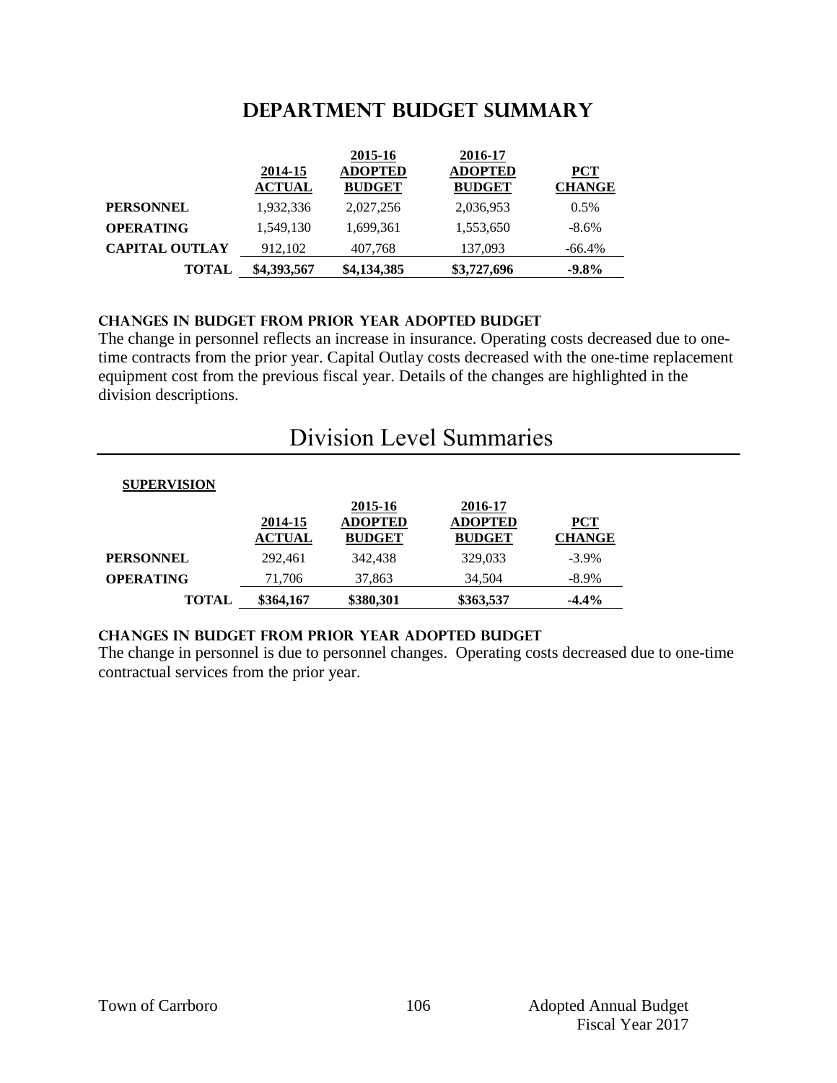## **DEPARTMENT Budget summary**

|                       |               | 2015-16       | 2016-17        |               |
|-----------------------|---------------|---------------|----------------|---------------|
|                       | 2014-15       | ADOPTED       | <b>ADOPTED</b> | <b>PCT</b>    |
|                       | <b>ACTUAL</b> | <b>BUDGET</b> | <b>BUDGET</b>  | <b>CHANGE</b> |
| <b>PERSONNEL</b>      | 1,932,336     | 2,027,256     | 2,036,953      | 0.5%          |
| <b>OPERATING</b>      | 1,549,130     | 1.699.361     | 1,553,650      | $-8.6\%$      |
| <b>CAPITAL OUTLAY</b> | 912,102       | 407,768       | 137,093        | $-66.4\%$     |
| <b>TOTAL</b>          | \$4,393,567   | \$4,134,385   | \$3,727,696    | $-9.8\%$      |

### **CHANGES IN BUDGET from PRIOR YEAR ADOPTED BUDGET**

The change in personnel reflects an increase in insurance. Operating costs decreased due to onetime contracts from the prior year. Capital Outlay costs decreased with the one-time replacement equipment cost from the previous fiscal year. Details of the changes are highlighted in the division descriptions.

# Division Level Summaries

| <b>SUPERVISION</b> |                          |                                            |                                            |                             |
|--------------------|--------------------------|--------------------------------------------|--------------------------------------------|-----------------------------|
|                    | 2014-15<br><b>ACTUAL</b> | 2015-16<br><b>ADOPTED</b><br><b>BUDGET</b> | 2016-17<br><b>ADOPTED</b><br><b>BUDGET</b> | <b>PCT</b><br><b>CHANGE</b> |
| <b>PERSONNEL</b>   | 292,461                  | 342,438                                    | 329,033                                    | $-3.9\%$                    |
| <b>OPERATING</b>   | 71,706                   | 37,863                                     | 34,504                                     | $-8.9\%$                    |
| TOTAL              | \$364,167                | \$380,301                                  | \$363,537                                  | $-4.4%$                     |

### **changes in budget from prior year adopted budget**

The change in personnel is due to personnel changes. Operating costs decreased due to one-time contractual services from the prior year.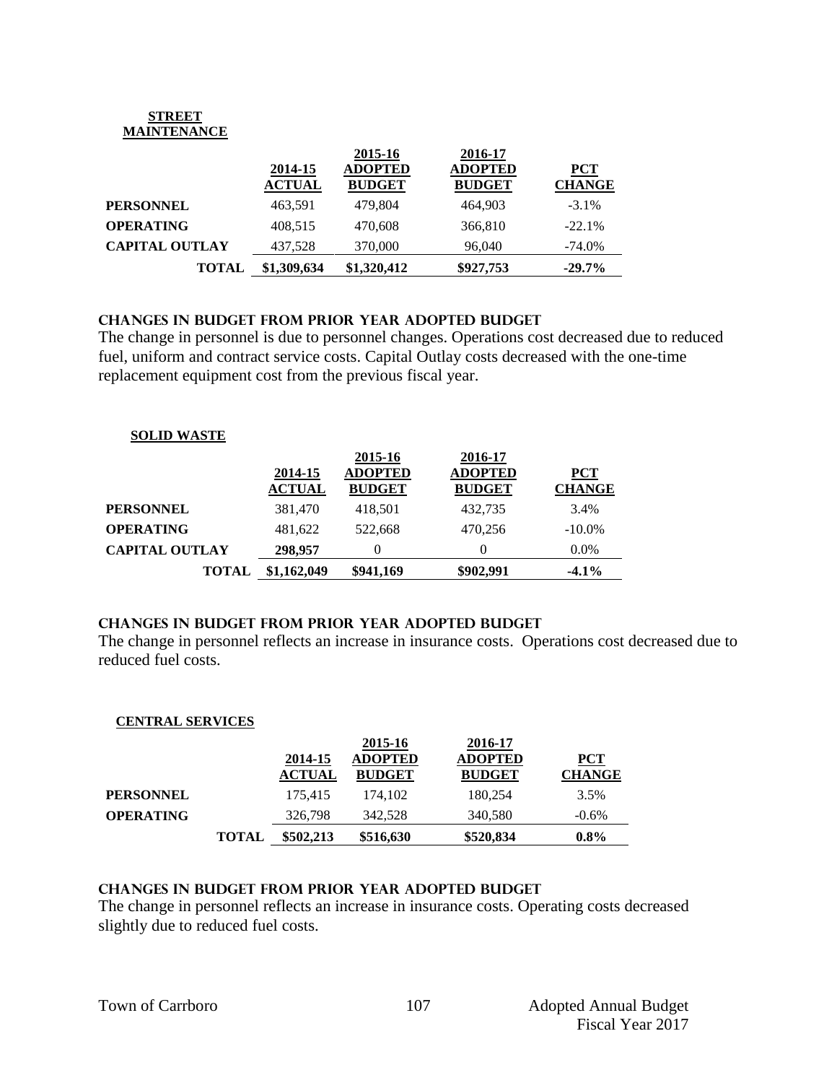#### **STREET MAINTENANCE**

|                       | 2014-15<br><b>ACTUAL</b> | 2015-16<br><b>ADOPTED</b><br><b>BUDGET</b> | 2016-17<br><b>ADOPTED</b><br><b>BUDGET</b> | <b>PCT</b><br><b>CHANGE</b> |
|-----------------------|--------------------------|--------------------------------------------|--------------------------------------------|-----------------------------|
| <b>PERSONNEL</b>      | 463,591                  | 479.804                                    | 464.903                                    | $-3.1\%$                    |
| <b>OPERATING</b>      | 408.515                  | 470,608                                    | 366,810                                    | $-22.1%$                    |
| <b>CAPITAL OUTLAY</b> | 437.528                  | 370,000                                    | 96,040                                     | $-74.0\%$                   |
| <b>TOTAL</b>          | \$1,309,634              | \$1,320,412                                | \$927,753                                  | $-29.7\%$                   |

### **Changes in budget from prior year adopted budget**

The change in personnel is due to personnel changes. Operations cost decreased due to reduced fuel, uniform and contract service costs. Capital Outlay costs decreased with the one-time replacement equipment cost from the previous fiscal year.

### **SOLID WASTE**

|                       | 2014-15<br><b>ACTUAL</b> | 2015-16<br><b>ADOPTED</b><br><b>BUDGET</b> | 2016-17<br><b>ADOPTED</b><br><b>BUDGET</b> | <b>PCT</b><br><b>CHANGE</b> |
|-----------------------|--------------------------|--------------------------------------------|--------------------------------------------|-----------------------------|
| <b>PERSONNEL</b>      | 381,470                  | 418.501                                    | 432,735                                    | 3.4%                        |
| <b>OPERATING</b>      | 481.622                  | 522.668                                    | 470.256                                    | $-10.0\%$                   |
| <b>CAPITAL OUTLAY</b> | 298,957                  |                                            |                                            | $0.0\%$                     |
| <b>TOTAL</b>          | \$1,162,049              | \$941,169                                  | \$902,991                                  | $-4.1\%$                    |

### **changes in budget from prior year adopted budget**

The change in personnel reflects an increase in insurance costs. Operations cost decreased due to reduced fuel costs.

### **CENTRAL SERVICES**

|                  |              |               | 2015-16       | 2016-17        |               |
|------------------|--------------|---------------|---------------|----------------|---------------|
|                  |              | 2014-15       | ADOPTED       | <b>ADOPTED</b> | <b>PCT</b>    |
|                  |              | <b>ACTUAL</b> | <b>BUDGET</b> | <b>BUDGET</b>  | <b>CHANGE</b> |
| <b>PERSONNEL</b> |              | 175.415       | 174.102       | 180,254        | 3.5%          |
| <b>OPERATING</b> |              | 326,798       | 342,528       | 340,580        | $-0.6\%$      |
|                  | <b>TOTAL</b> | \$502,213     | \$516,630     | \$520,834      | $0.8\%$       |

### **changes in budget from prior year adopted budget**

The change in personnel reflects an increase in insurance costs. Operating costs decreased slightly due to reduced fuel costs.